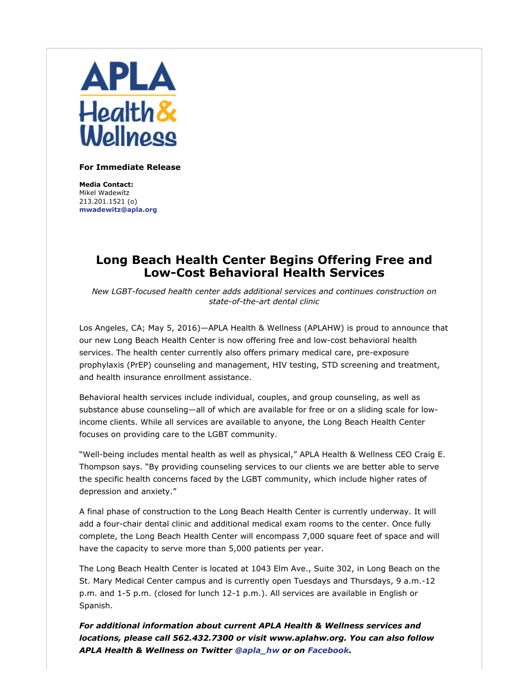

## **For Immediate Release**

**Media Contact:** Mikel Wadewitz 213.201.1521 (o) **mwadewitz@apla.org**

## **Long Beach Health Center Begins Offering Free and Low-Cost Behavioral Health Services**

*New LGBT-focused health center adds additional services and continues construction on state-of-the-art dental clinic*

Los Angeles, CA; May 5, 2016)—APLA Health & Wellness (APLAHW) is proud to announce that our new Long Beach Health Center is now offering free and low-cost behavioral health services. The health center currently also offers primary medical care, pre-exposure prophylaxis (PrEP) counseling and management, HIV testing, STD screening and treatment, and health insurance enrollment assistance.

Behavioral health services include individual, couples, and group counseling, as well as substance abuse counseling—all of which are available for free or on a sliding scale for lowincome clients. While all services are available to anyone, the Long Beach Health Center focuses on providing care to the LGBT community.

"Well-being includes mental health as well as physical," APLA Health & Wellness CEO Craig E. Thompson says. "By providing counseling services to our clients we are better able to serve the specific health concerns faced by the LGBT community, which include higher rates of depression and anxiety."

A final phase of construction to the Long Beach Health Center is currently underway. It will add a four-chair dental clinic and additional medical exam rooms to the center. Once fully complete, the Long Beach Health Center will encompass 7,000 square feet of space and will have the capacity to serve more than 5,000 patients per year.

The Long Beach Health Center is located at 1043 Elm Ave., Suite 302, in Long Beach on the St. Mary Medical Center campus and is currently open Tuesdays and Thursdays, 9 a.m.-12 p.m. and 1-5 p.m. (closed for lunch 12-1 p.m.). All services are available in English or Spanish.

*For additional information about current APLA Health & Wellness services and locations, please call 562.432.7300 or visit www.aplahw.org. You can also follow APLA Health & Wellness on Twitter @apla\_hw or on Facebook.*